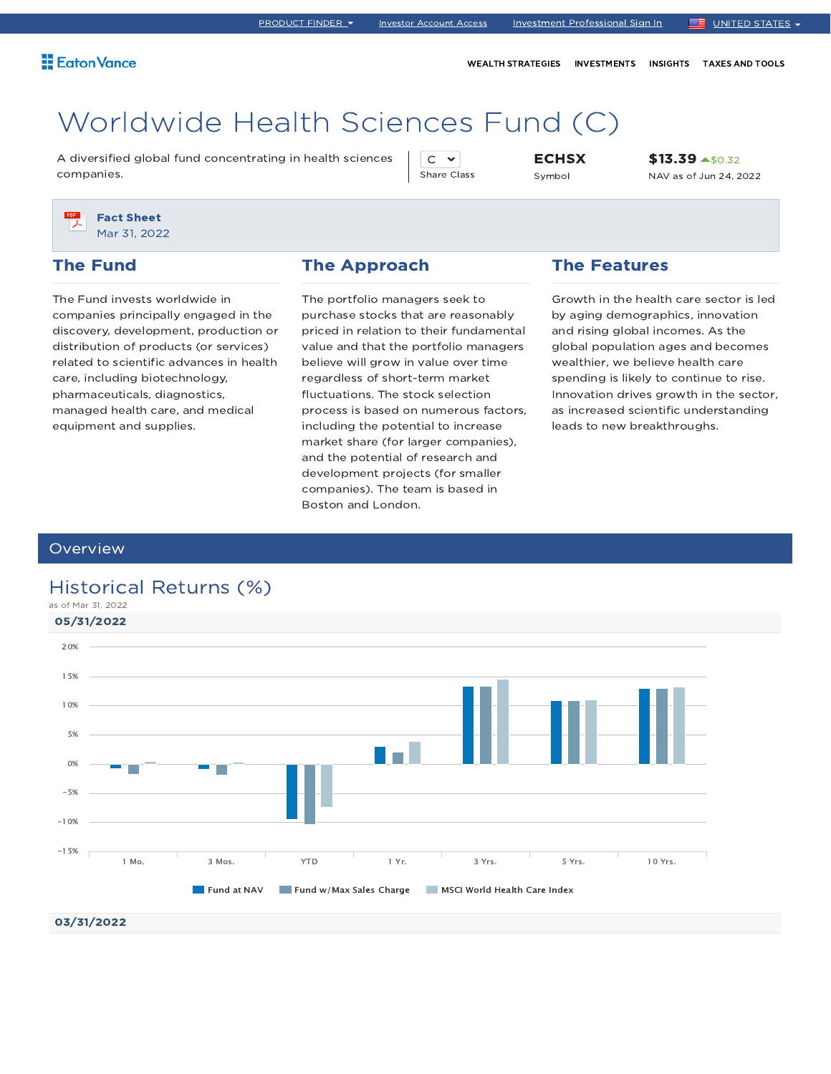WEALTH STRATEGIES INVESTMENTS INSIGHTS TAXES AND TOOLS

# Worldwide Health Sciences Fund (C)

A diversified global fund concentrating in health sciences companies.

 $C \sim$ Share Class **ECHSX** Symbol

\$13.39 <u>4\$0.32</u> NAV as of Jun 24, 2022



#### The Fund

The Fund invests worldwide in companies principally engaged in the discovery, development, production or distribution of products (or services) related to scientific advances in health care, including biotechnology, pharmaceuticals, diagnostics, managed health care, and medical equipment and supplies.

#### The Approach

The portfolio managers seek to purchase stocks that are reasonably priced in relation to their fundamental value and that the portfolio managers believe will grow in value over time regardless of short-term market fluctuations. The stock selection process is based on numerous factors, including the potential to increase market share (for larger companies), and the potential of research and development projects (for smaller companies). The team is based in Boston and London.

#### The Features

Growth in the health care sector is led by aging demographics, innovation and rising global incomes. As the global population ages and becomes wealthier, we believe health care spending is likely to continue to rise. Innovation drives growth in the sector, as increased scientific understanding leads to new breakthroughs.

#### **Overview**

### Historical Returns (%)



03/31/2022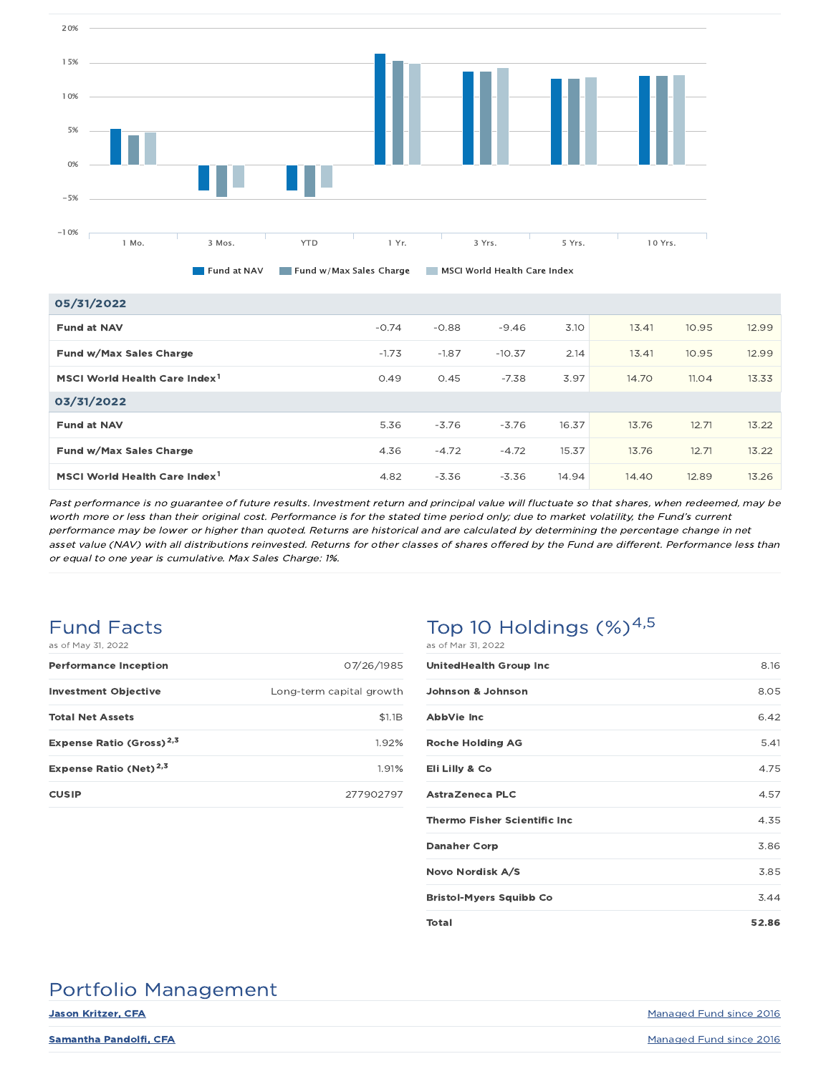

| 05/31/2022                                |         |         |          |       |       |       |       |
|-------------------------------------------|---------|---------|----------|-------|-------|-------|-------|
| <b>Fund at NAV</b>                        | $-0.74$ | $-0.88$ | $-9.46$  | 3.10  | 13.41 | 10.95 | 12.99 |
| Fund w/Max Sales Charge                   | $-1.73$ | $-1.87$ | $-10.37$ | 2.14  | 13.41 | 10.95 | 12.99 |
| MSCI World Health Care Index <sup>1</sup> | 0.49    | 0.45    | $-7.38$  | 3.97  | 14.70 | 11.04 | 13.33 |
| 03/31/2022                                |         |         |          |       |       |       |       |
| <b>Fund at NAV</b>                        | 5.36    | $-3.76$ | $-3.76$  | 16.37 | 13.76 | 12.71 | 13.22 |
| Fund w/Max Sales Charge                   | 4.36    | $-4.72$ | $-4.72$  | 15.37 | 13.76 | 12.71 | 13.22 |
| MSCI World Health Care Index <sup>1</sup> | 4.82    | $-3.36$ | $-3.36$  | 14.94 | 14.40 | 12.89 | 13.26 |

Past performance is no guarantee of future results. Investment return and principal value will fluctuate so that shares, when redeemed, may be worth more or less than their original cost. Performance is for the stated time period only; due to market volatility, the Fund's current performance may be lower or higher than quoted. Returns are historical and are calculated by determining the percentage change in net asset value (NAV) with all distributions reinvested. Returns for other classes of shares offered by the Fund are different. Performance less than or equal to one year is cumulative. Max Sales Charge: 1%.

## Fund Facts

| as of May 31, 2022                   |                          |
|--------------------------------------|--------------------------|
| <b>Performance Inception</b>         | 07/26/1985               |
| <b>Investment Objective</b>          | Long-term capital growth |
| <b>Total Net Assets</b>              | \$1.1B                   |
| Expense Ratio (Gross) <sup>2,3</sup> | 1.92%                    |
| Expense Ratio (Net) <sup>2,3</sup>   | 1.91%                    |
| <b>CUSIP</b>                         | 277902797                |

### Top 10 Holdings  $(\%)^{4,5}$ as of Mar 31, 2022

| <b>UnitedHealth Group Inc</b>        | 8.16  |
|--------------------------------------|-------|
| Johnson & Johnson                    | 8.05  |
| <b>AbbVie Inc</b>                    | 6.42  |
| <b>Roche Holding AG</b>              | 5.41  |
| Eli Lilly & Co                       | 4.75  |
| AstraZeneca PLC                      | 4.57  |
| <b>Thermo Fisher Scientific Inc.</b> | 4.35  |
| <b>Danaher Corp</b>                  | 3.86  |
| Novo Nordisk A/S                     | 3.85  |
| <b>Bristol-Myers Squibb Co</b>       | 3.44  |
| <b>Total</b>                         | 52.86 |

### Portfolio Management

**Jason Kritzer, CFA** Managed Fund since 2016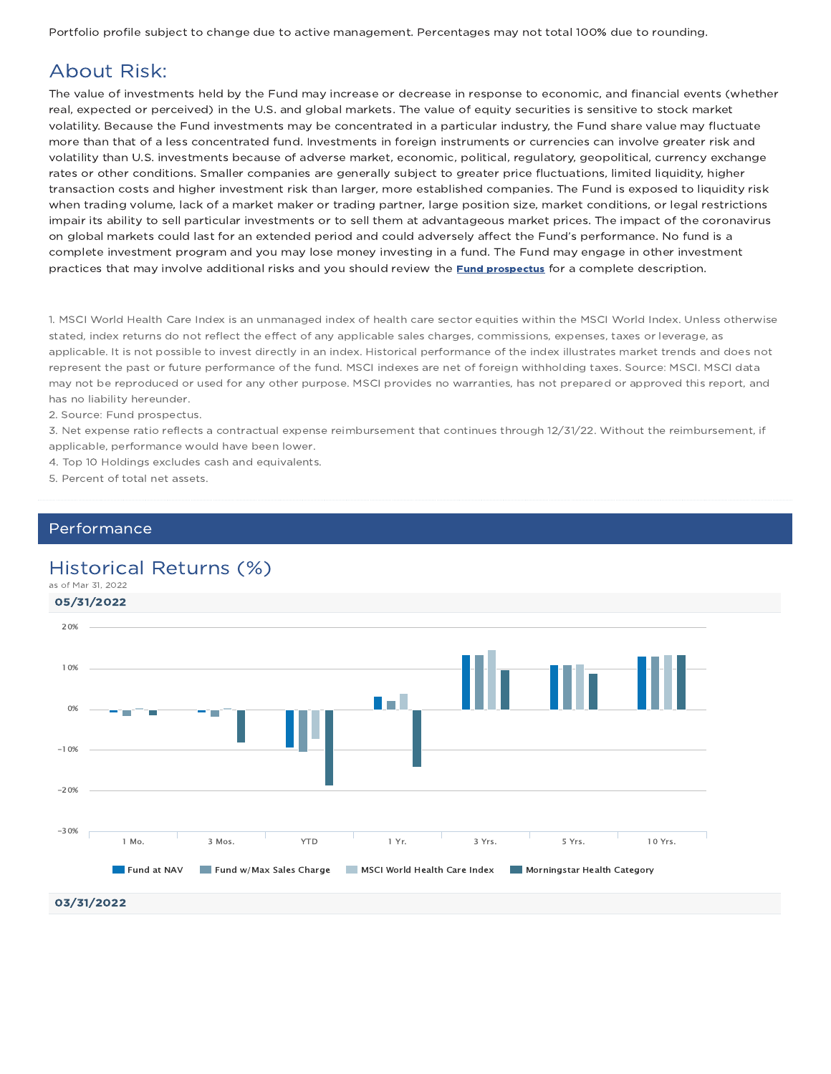Portfolio profile subject to change due to active management. Percentages may not total 100% due to rounding.

### About Risk:

The value of investments held by the Fund may increase or decrease in response to economic, and financial events (whether real, expected or perceived) in the U.S. and global markets. The value of equity securities is sensitive to stock market volatility. Because the Fund investments may be concentrated in a particular industry, the Fund share value may fluctuate more than that of a less concentrated fund. Investments in foreign instruments or currencies can involve greater risk and volatility than U.S. investments because of adverse market, economic, political, regulatory, geopolitical, currency exchange rates or other conditions. Smaller companies are generally subject to greater price fluctuations, limited liquidity, higher transaction costs and higher investment risk than larger, more established companies. The Fund is exposed to liquidity risk when trading volume, lack of a market maker or trading partner, large position size, market conditions, or legal restrictions impair its ability to sell particular investments or to sell them at advantageous market prices. The impact of the coronavirus on global markets could last for an extended period and could adversely affect the Fund's performance. No fund is a complete investment program and you may lose money investing in a fund. The Fund may engage in other investment practices that may involve additional risks and you should review the **Fund prospectus** for a complete description.

1. MSCI World Health Care Index is an unmanaged index of health care sector equities within the MSCI World Index. Unless otherwise stated, index returns do not reflect the effect of any applicable sales charges, commissions, expenses, taxes or leverage, as applicable. It is not possible to invest directly in an index. Historical performance of the index illustrates market trends and does not represent the past or future performance of the fund. MSCI indexes are net of foreign withholding taxes. Source: MSCI. MSCI data may not be reproduced or used for any other purpose. MSCI provides no warranties, has not prepared or approved this report, and has no liability hereunder.

2. Source: Fund prospectus.

3. Net expense ratio reflects a contractual expense reimbursement that continues through 12/31/22. Without the reimbursement, if applicable, performance would have been lower.

4. Top 10 Holdings excludes cash and equivalents.

5. Percent of total net assets.

### Performance

### Historical Returns (%)

as of Mar 31, 2022

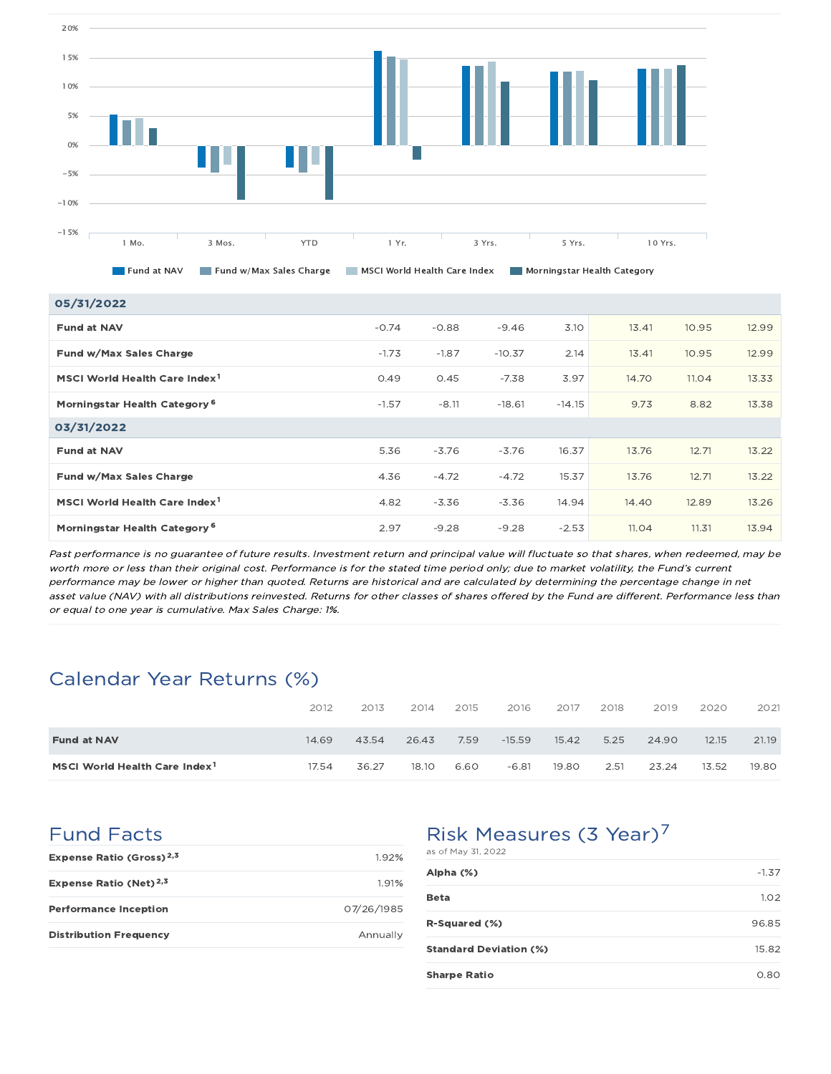

| 05/31/2022                                |         |         |          |          |       |       |       |
|-------------------------------------------|---------|---------|----------|----------|-------|-------|-------|
| <b>Fund at NAV</b>                        | $-0.74$ | $-0.88$ | $-9.46$  | 3.10     | 13.41 | 10.95 | 12.99 |
| Fund w/Max Sales Charge                   | $-1.73$ | $-1.87$ | $-10.37$ | 2.14     | 13.41 | 10.95 | 12.99 |
| MSCI World Health Care Index <sup>1</sup> | 0.49    | 0.45    | $-7.38$  | 3.97     | 14.70 | 11.04 | 13.33 |
| Morningstar Health Category <sup>6</sup>  | $-1.57$ | $-8.11$ | $-18.61$ | $-14.15$ | 9.73  | 8.82  | 13.38 |
| 03/31/2022                                |         |         |          |          |       |       |       |
| <b>Fund at NAV</b>                        | 5.36    | $-3.76$ | $-3.76$  | 16.37    | 13.76 | 12.71 | 13.22 |
| Fund w/Max Sales Charge                   | 4.36    | $-4.72$ | $-4.72$  | 15.37    | 13.76 | 12.71 | 13.22 |
| MSCI World Health Care Index <sup>1</sup> | 4.82    | $-3.36$ | $-3.36$  | 14.94    | 14.40 | 12.89 | 13.26 |
| Morningstar Health Category <sup>6</sup>  | 2.97    | $-9.28$ | $-9.28$  | $-2.53$  | 11.04 | 11.31 | 13.94 |

Past performance is no guarantee of future results. Investment return and principal value will fluctuate so that shares, when redeemed, may be worth more or less than their original cost. Performance is for the stated time period only; due to market volatility, the Fund's current performance may be lower or higher than quoted. Returns are historical and are calculated by determining the percentage change in net asset value (NAV) with all distributions reinvested. Returns for other classes of shares offered by the Fund are different. Performance less than or equal to one year is cumulative. Max Sales Charge: 1%.

### Calendar Year Returns (%)

|                                           | 2012  | 2013  | 2014  | 2015 | 2016     | 2017  | 2018 | 2019  | 2020  | 2021  |
|-------------------------------------------|-------|-------|-------|------|----------|-------|------|-------|-------|-------|
| <b>Fund at NAV</b>                        | 14.69 | 43.54 | 26.43 | 7.59 | $-15.59$ | 15.42 | 5.25 | 24.90 | 12.15 | 21.19 |
| MSCI World Health Care Index <sup>1</sup> | 17.54 | 36.27 | 18.10 | 6.60 | $-6.81$  | 19.80 | 2.51 | 23.24 | 13.52 | 19.80 |

### Fund Facts

| Expense Ratio (Gross) <sup>2,3</sup> | 1.92%      |
|--------------------------------------|------------|
| Expense Ratio (Net) $^{2,3}$         | 191%       |
| <b>Performance Inception</b>         | 07/26/1985 |
| <b>Distribution Frequency</b>        | Annually   |

## Risk Measures (3 Year)<sup>7</sup>

| as of May 31, 2022            |         |
|-------------------------------|---------|
| Alpha (%)                     | $-1.37$ |
| Beta                          | 1.02    |
| <b>R-Squared (%)</b>          | 96.85   |
| <b>Standard Deviation (%)</b> | 15.82   |
| <b>Sharpe Ratio</b>           | 0.80    |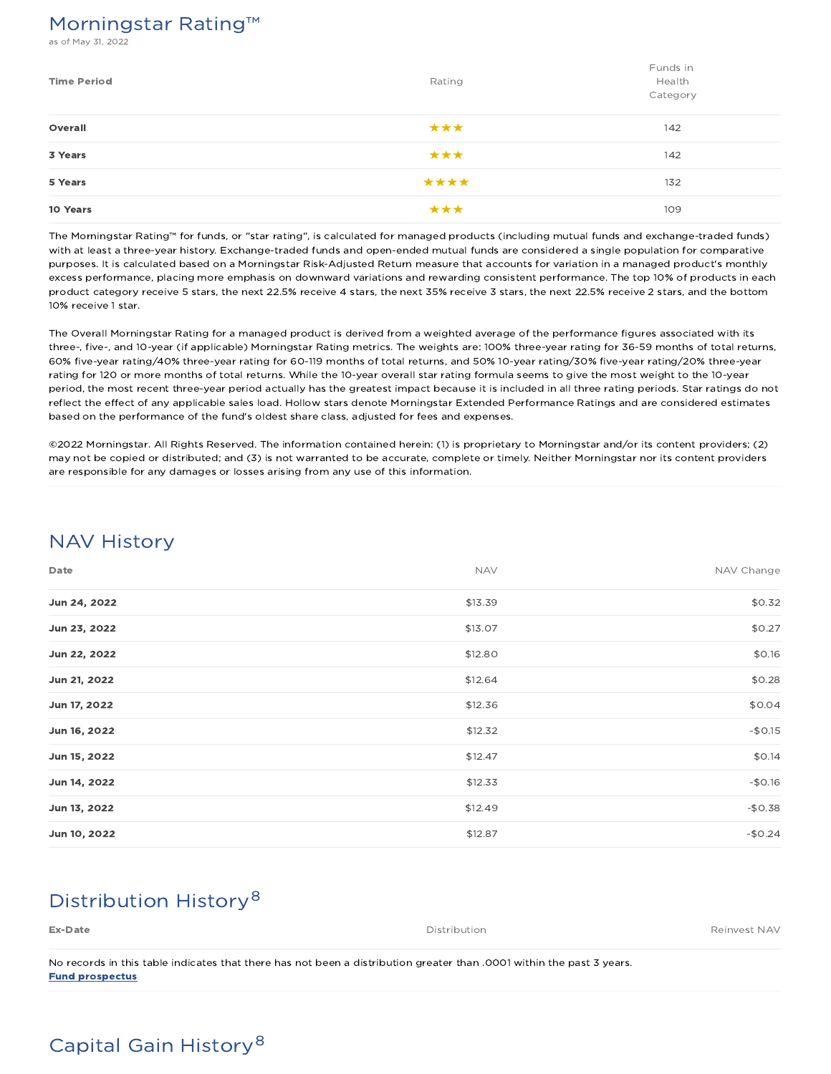### Morningstar Rating™

s of May 31, 2022

| <b>Time Period</b> | Rating | Funds in<br>Health<br>Category |
|--------------------|--------|--------------------------------|
| Overall            | ***    | 142                            |
| 3 Years            | ***    | 142                            |
| 5 Years            | ****   | 132                            |
| 10 Years           | ***    | 109                            |

The Morningstar Rating™ for funds, or "star rating", is calculated for managed products (including mutual funds and exchange-traded funds) with at least a three-year history. Exchange-traded funds and open-ended mutual funds are considered a single population for comparative purposes. It is calculated based on a Morningstar Risk-Adjusted Return measure that accounts for variation in a managed product's monthly excess performance, placing more emphasis on downward variations and rewarding consistent performance. The top 10% of products in each product category receive 5 stars, the next 22.5% receive 4 stars, the next 35% receive 3 stars, the next 22.5% receive 2 stars, and the bottom 10% receive 1 star.

The Overall Morningstar Rating for a managed product is derived from a weighted average of the performance figures associated with its three-, five-, and 10-year (if applicable) Morningstar Rating metrics. The weights are: 100% three-year rating for 36-59 months of total returns, 60% five-year rating/40% three-year rating for 60-119 months of total returns, and 50% 10-year rating/30% five-year rating/20% three-year rating for 120 or more months of total returns. While the 10-year overall star rating formula seems to give the most weight to the 10-year period, the most recent three-year period actually has the greatest impact because it is included in all three rating periods. Star ratings do not reflect the effect of any applicable sales load. Hollow stars denote Morningstar Extended Performance Ratings and are considered estimates based on the performance of the fund's oldest share class, adjusted for fees and expenses.

©2022 Morningstar. All Rights Reserved. The information contained herein: (1) is proprietary to Morningstar and/or its content providers; (2) may not be copied or distributed; and (3) is not warranted to be accurate, complete or timely. Neither Morningstar nor its content providers are responsible for any damages or losses arising from any use of this information.

### NAV History

| Date         | <b>NAV</b> | NAV Change |
|--------------|------------|------------|
| Jun 24, 2022 | \$13.39    | \$0.32     |
| Jun 23, 2022 | \$13.07    | \$0.27     |
| Jun 22, 2022 | \$12.80    | \$0.16     |
| Jun 21, 2022 | \$12.64    | \$0.28     |
| Jun 17, 2022 | \$12.36    | \$0.04     |
| Jun 16, 2022 | \$12.32    | $-$0.15$   |
| Jun 15, 2022 | \$12.47    | \$0.14     |
| Jun 14, 2022 | \$12.33    | $-$0.16$   |
| Jun 13, 2022 | \$12.49    | $-$0.38$   |
| Jun 10, 2022 | \$12.87    | $-$0.24$   |

## Distribution History 8

| Ex-Date                                                                                                               | Distribution | Reinvest NAV |
|-----------------------------------------------------------------------------------------------------------------------|--------------|--------------|
|                                                                                                                       |              |              |
| No records in this table indicates that there has not been a distribution greater than .0001 within the past 3 years. |              |              |

Fund prospectus

# Capital Gain History 8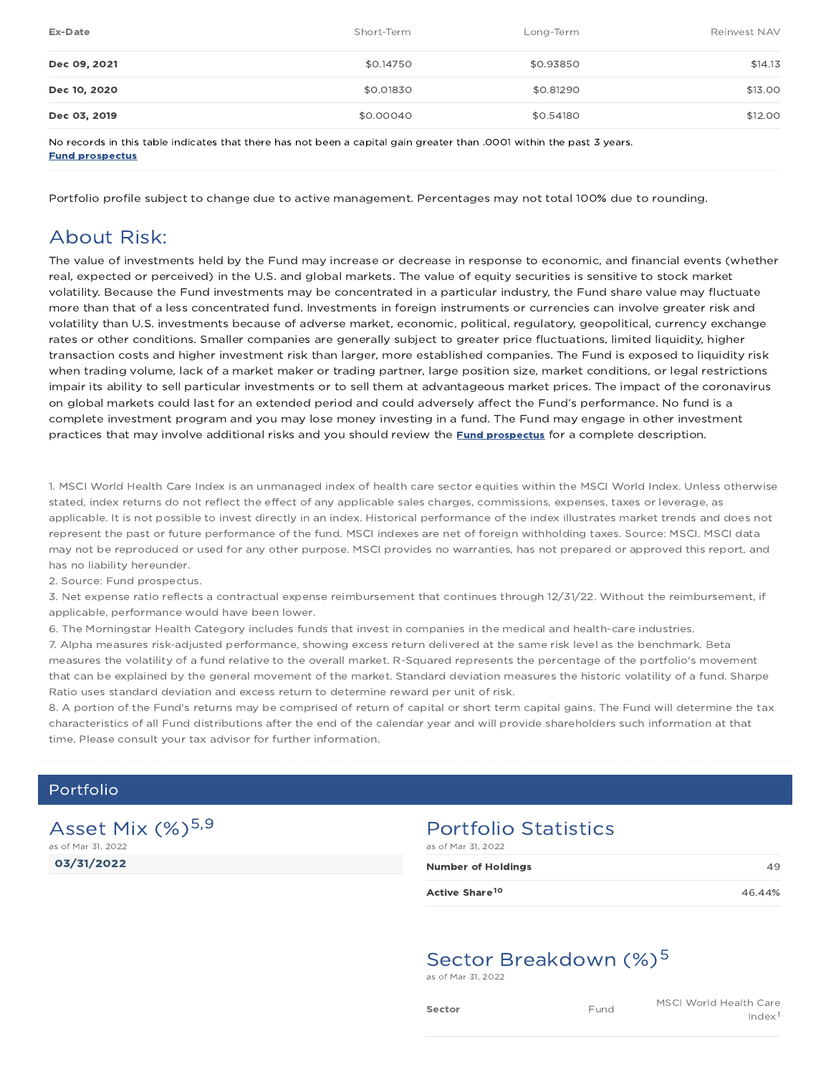| Ex-Date      | Short-Term | Long-Term | Reinvest NAV |
|--------------|------------|-----------|--------------|
| Dec 09, 2021 | \$0.14750  | \$0.93850 | \$14.13      |
| Dec 10, 2020 | \$0.01830  | \$0.81290 | \$13.00      |
| Dec 03, 2019 | \$0.00040  | \$0.54180 | \$12.00      |

No records in this table indicates that there has not been a capital gain greater than .0001 within the past 3 years. Fund prospectus

Portfolio profile subject to change due to active management. Percentages may not total 100% due to rounding.

### About Risk:

The value of investments held by the Fund may increase or decrease in response to economic, and financial events (whether real, expected or perceived) in the U.S. and global markets. The value of equity securities is sensitive to stock market volatility. Because the Fund investments may be concentrated in a particular industry, the Fund share value may fluctuate more than that of a less concentrated fund. Investments in foreign instruments or currencies can involve greater risk and volatility than U.S. investments because of adverse market, economic, political, regulatory, geopolitical, currency exchange rates or other conditions. Smaller companies are generally subject to greater price fluctuations, limited liquidity, higher transaction costs and higher investment risk than larger, more established companies. The Fund is exposed to liquidity risk when trading volume, lack of a market maker or trading partner, large position size, market conditions, or legal restrictions impair its ability to sell particular investments or to sell them at advantageous market prices. The impact of the coronavirus on global markets could last for an extended period and could adversely affect the Fund's performance. No fund is a complete investment program and you may lose money investing in a fund. The Fund may engage in other investment practices that may involve additional risks and you should review the **Fund prospectus** for a complete description.

1. MSCI World Health Care Index is an unmanaged index of health care sector equities within the MSCI World Index. Unless otherwise stated, index returns do not reflect the effect of any applicable sales charges, commissions, expenses, taxes or leverage, as applicable. It is not possible to invest directly in an index. Historical performance of the index illustrates market trends and does not represent the past or future performance of the fund. MSCI indexes are net of foreign withholding taxes. Source: MSCI. MSCI data may not be reproduced or used for any other purpose. MSCI provides no warranties, has not prepared or approved this report, and has no liability hereunder.

2. Source: Fund prospectus.

3. Net expense ratio reflects a contractual expense reimbursement that continues through 12/31/22. Without the reimbursement, if applicable, performance would have been lower.

6. The Morningstar Health Category includes funds that invest in companies in the medical and health-care industries.

7. Alpha measures risk-adjusted performance, showing excess return delivered at the same risk level as the benchmark. Beta measures the volatility of a fund relative to the overall market. R-Squared represents the percentage of the portfolio's movement that can be explained by the general movement of the market. Standard deviation measures the historic volatility of a fund. Sharpe Ratio uses standard deviation and excess return to determine reward per unit of risk.

8. A portion of the Fund's returns may be comprised of return of capital or short term capital gains. The Fund will determine the tax characteristics of all Fund distributions after the end of the calendar year and will provide shareholders such information at that time. Please consult your tax advisor for further information.

### Portfolio

03/31/2022 Asset Mix (%)<sup>5,9</sup> as of Mar 31, 2022

#### Portfolio Statistics as of Mar 31, 2022

| <b>Number of Holdings</b>  | 49     |
|----------------------------|--------|
| Active Share <sup>10</sup> | 46.44% |

## Sector Breakdown (%)<sup>5</sup>

as of Mar 31, 2022

| :tor |  |  |  |
|------|--|--|--|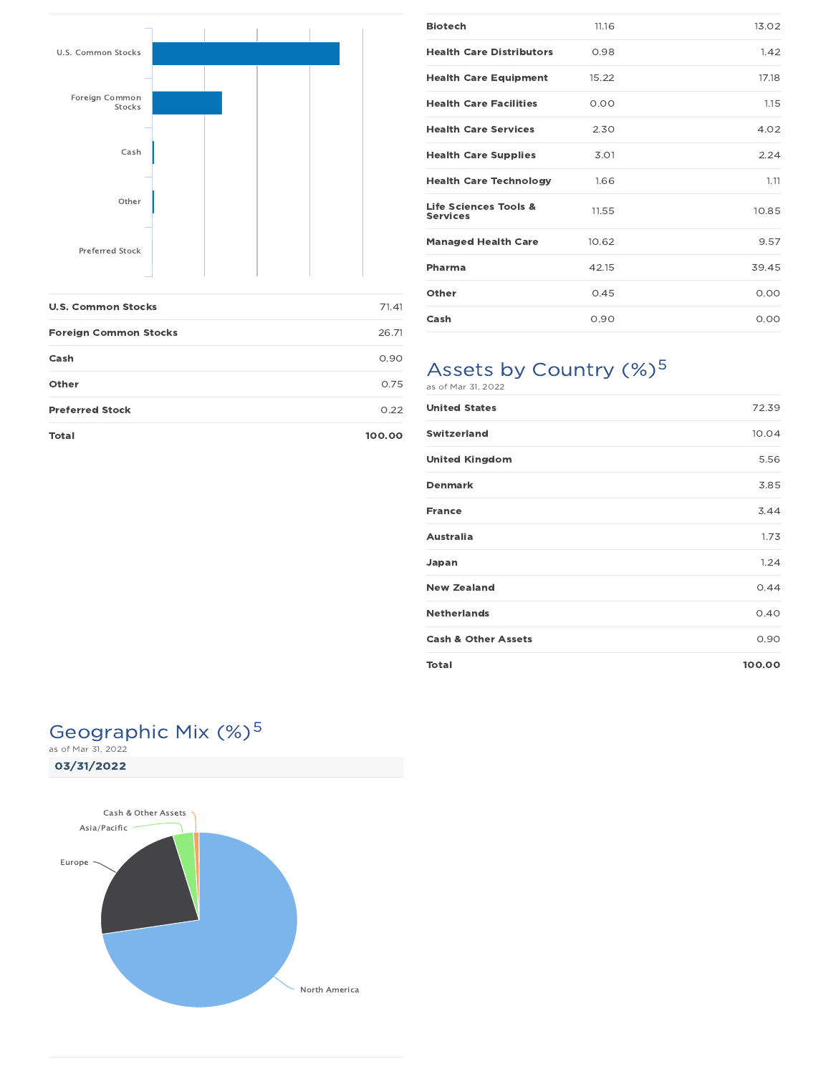

| <b>U.S. Common Stocks</b>    | 71.41  |
|------------------------------|--------|
| <b>Foreign Common Stocks</b> | 26.71  |
| Cash                         | 0.90   |
| Other                        | 0.75   |
| <b>Preferred Stock</b>       | 0.22   |
| Total                        | 100.00 |

| <b>Biotech</b>                           | 11.16 | 13.02 |
|------------------------------------------|-------|-------|
| <b>Health Care Distributors</b>          | 0.98  | 1.42  |
| <b>Health Care Equipment</b>             | 15.22 | 17.18 |
| <b>Health Care Facilities</b>            | 0.00  | 1.15  |
| <b>Health Care Services</b>              | 2.30  | 4.02  |
| <b>Health Care Supplies</b>              | 3.01  | 2.24  |
| <b>Health Care Technology</b>            | 1.66  | 1.11  |
| Life Sciences Tools &<br><b>Services</b> | 11.55 | 10.85 |
| <b>Managed Health Care</b>               | 10.62 | 9.57  |
| Pharma                                   | 42.15 | 39.45 |
| Other                                    | 0.45  | 0.00  |
| Cash                                     | 0.90  | 0.00  |

# Assets by Country (%)<sup>5</sup>

|  |  | as of Mar 31, 2022 |  |
|--|--|--------------------|--|
|  |  |                    |  |

| <b>United States</b>           | 72.39  |
|--------------------------------|--------|
| <b>Switzerland</b>             | 10.04  |
| <b>United Kingdom</b>          | 5.56   |
| <b>Denmark</b>                 | 3.85   |
| <b>France</b>                  | 3.44   |
| <b>Australia</b>               | 1.73   |
| Japan                          | 1.24   |
| <b>New Zealand</b>             | 0.44   |
| <b>Netherlands</b>             | 0.40   |
| <b>Cash &amp; Other Assets</b> | 0.90   |
| <b>Total</b>                   | 100.00 |

# Geographic Mix (%)<sup>5</sup>

03/31/2022 as of Mar 31, 2022

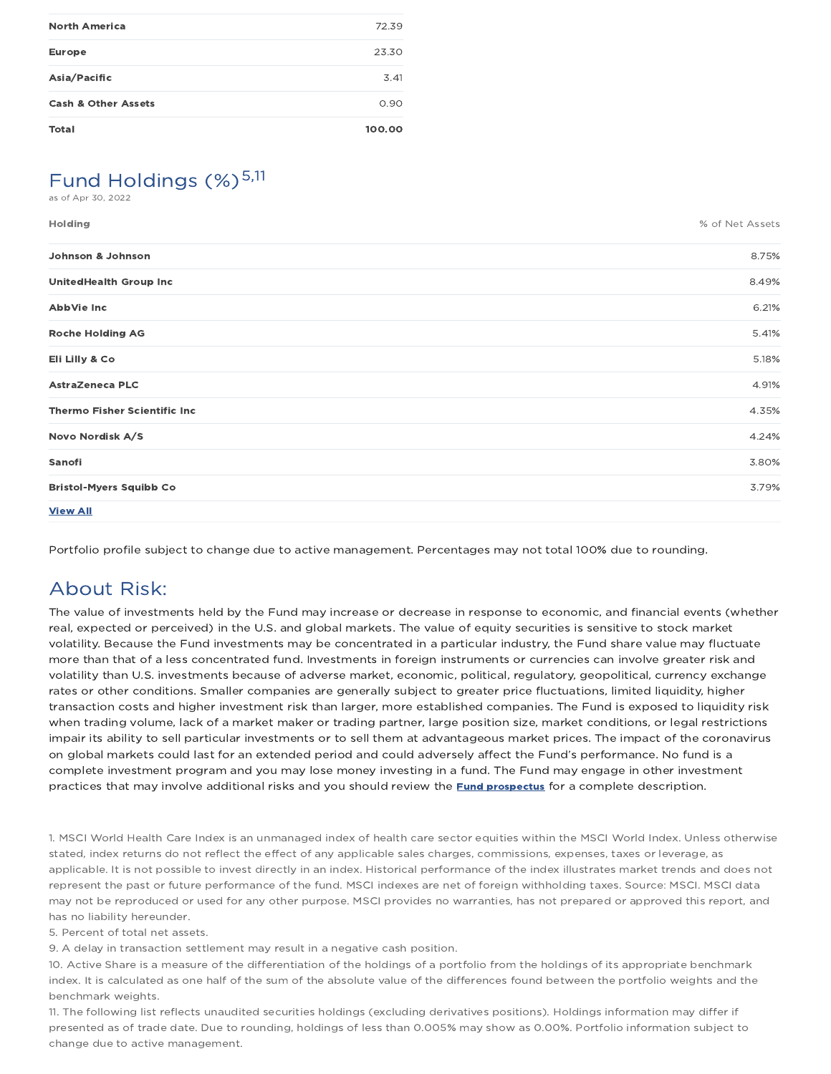| <b>Total</b>                   | 100.00 |
|--------------------------------|--------|
| <b>Cash &amp; Other Assets</b> | 0.90   |
| Asia/Pacific                   | 3.41   |
| <b>Europe</b>                  | 23.30  |
| <b>North America</b>           | 72.39  |
|                                |        |

# Fund Holdings  $(\%)^{5,11}$

as of Apr 30, 2022

| Holding                             | % of Net Assets |
|-------------------------------------|-----------------|
| Johnson & Johnson                   | 8.75%           |
| <b>UnitedHealth Group Inc</b>       | 8.49%           |
| AbbVie Inc                          | 6.21%           |
| <b>Roche Holding AG</b>             | 5.41%           |
| Eli Lilly & Co                      | 5.18%           |
| <b>AstraZeneca PLC</b>              | 4.91%           |
| <b>Thermo Fisher Scientific Inc</b> | 4.35%           |
| Novo Nordisk A/S                    | 4.24%           |
| Sanofi                              | 3.80%           |
| <b>Bristol-Myers Squibb Co</b>      | 3.79%           |
| <b>View All</b>                     |                 |

Portfolio profile subject to change due to active management. Percentages may not total 100% due to rounding.

### About Risk:

The value of investments held by the Fund may increase or decrease in response to economic, and financial events (whether real, expected or perceived) in the U.S. and global markets. The value of equity securities is sensitive to stock market volatility. Because the Fund investments may be concentrated in a particular industry, the Fund share value may fluctuate more than that of a less concentrated fund. Investments in foreign instruments or currencies can involve greater risk and volatility than U.S. investments because of adverse market, economic, political, regulatory, geopolitical, currency exchange rates or other conditions. Smaller companies are generally subject to greater price fluctuations, limited liquidity, higher transaction costs and higher investment risk than larger, more established companies. The Fund is exposed to liquidity risk when trading volume, lack of a market maker or trading partner, large position size, market conditions, or legal restrictions impair its ability to sell particular investments or to sell them at advantageous market prices. The impact of the coronavirus on global markets could last for an extended period and could adversely affect the Fund's performance. No fund is a complete investment program and you may lose money investing in a fund. The Fund may engage in other investment practices that may involve additional risks and you should review the **Fund prospectus** for a complete description.

1. MSCI World Health Care Index is an unmanaged index of health care sector equities within the MSCI World Index. Unless otherwise stated, index returns do not reflect the effect of any applicable sales charges, commissions, expenses, taxes or leverage, as applicable. It is not possible to invest directly in an index. Historical performance of the index illustrates market trends and does not represent the past or future performance of the fund. MSCI indexes are net of foreign withholding taxes. Source: MSCI. MSCI data may not be reproduced or used for any other purpose. MSCI provides no warranties, has not prepared or approved this report, and has no liability hereunder.

5. Percent of total net assets.

9. A delay in transaction settlement may result in a negative cash position.

10. Active Share is a measure of the differentiation of the holdings of a portfolio from the holdings of its appropriate benchmark index. It is calculated as one half of the sum of the absolute value of the differences found between the portfolio weights and the benchmark weights.

11. The following list reflects unaudited securities holdings (excluding derivatives positions). Holdings information may differ if presented as of trade date. Due to rounding, holdings of less than 0.005% may show as 0.00%. Portfolio information subject to change due to active management.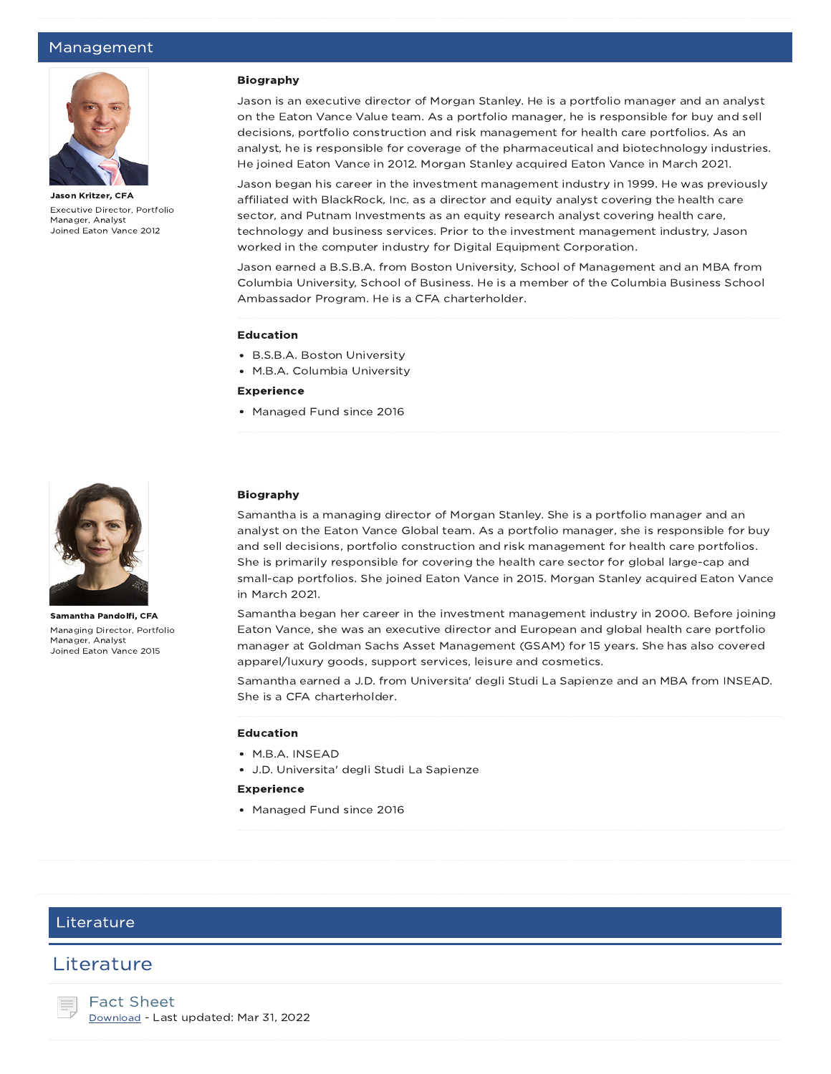#### Management



Jason Kritzer, CFA Executive Director, Portfolio Manager, Analyst Joined Eaton Vance 2012

#### Biography

Jason is an executive director of Morgan Stanley. He is a portfolio manager and an analyst on the Eaton Vance Value team. As a portfolio manager, he is responsible for buy and sell decisions, portfolio construction and risk management for health care portfolios. As an analyst, he is responsible for coverage of the pharmaceutical and biotechnology industries. He joined Eaton Vance in 2012. Morgan Stanley acquired Eaton Vance in March 2021.

Jason began his career in the investment management industry in 1999. He was previously affiliated with BlackRock, Inc. as a director and equity analyst covering the health care sector, and Putnam Investments as an equity research analyst covering health care, technology and business services. Prior to the investment management industry, Jason worked in the computer industry for Digital Equipment Corporation.

Jason earned a B.S.B.A. from Boston University, School of Management and an MBA from Columbia University, School of Business. He is a member of the Columbia Business School Ambassador Program. He is a CFA charterholder.

#### Education

- B.S.B.A. Boston University
- M.B.A. Columbia University

#### **Experience**

Managed Fund since 2016



Samantha Pandolfi, CFA Managing Director, Portfolio Manager, Analyst Joined Eaton Vance 2015

#### Biography

Samantha is a managing director of Morgan Stanley. She is a portfolio manager and an analyst on the Eaton Vance Global team. As a portfolio manager, she is responsible for buy and sell decisions, portfolio construction and risk management for health care portfolios. She is primarily responsible for covering the health care sector for global large-cap and small-cap portfolios. She joined Eaton Vance in 2015. Morgan Stanley acquired Eaton Vance in March 2021.

Samantha began her career in the investment management industry in 2000. Before joining Eaton Vance, she was an executive director and European and global health care portfolio manager at Goldman Sachs Asset Management (GSAM) for 15 years. She has also covered apparel/luxury goods, support services, leisure and cosmetics.

Samantha earned a J.D. from Universita' degli Studi La Sapienze and an MBA from INSEAD. She is a CFA charterholder.

#### Education

- M.B.A. INSEAD
- J.D. Universita' degli Studi La Sapienze

#### Experience

• Managed Fund since 2016

#### Literature

### **Literature**

Fact Sheet Download - Last updated: Mar 31, 2022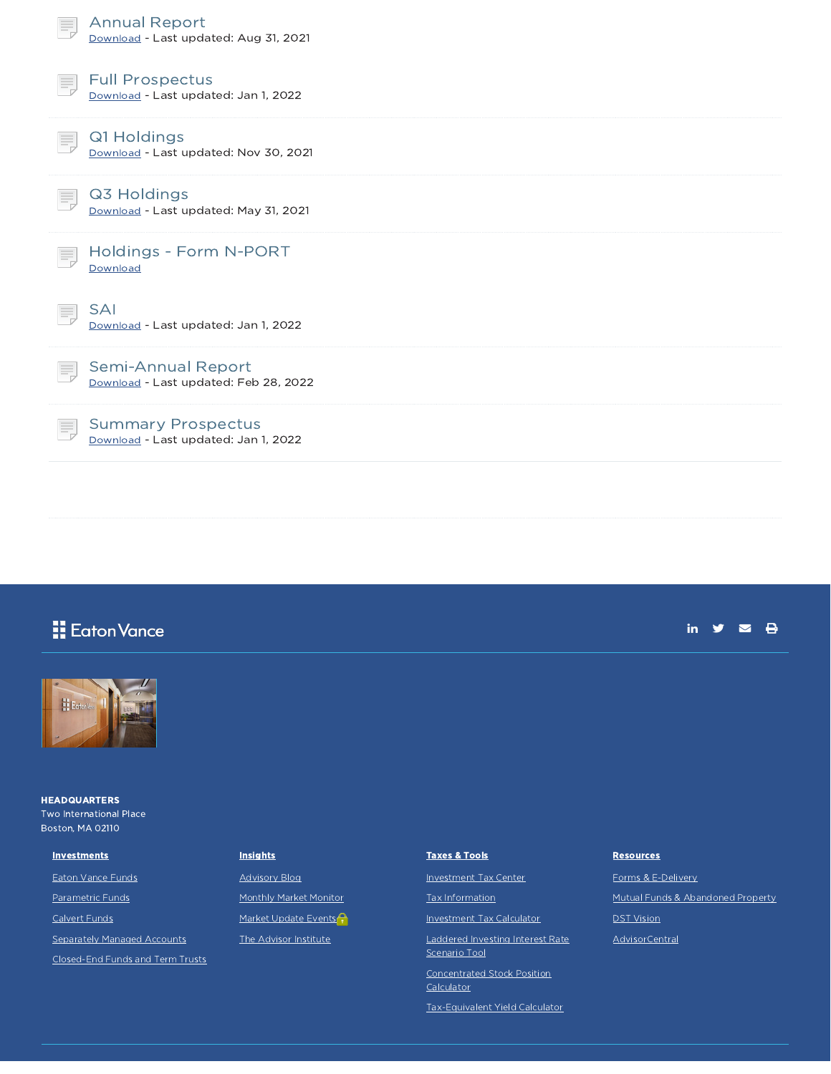| <b>Annual Report</b><br>Download - Last updated: Aug 31, 2021        |
|----------------------------------------------------------------------|
| <b>Full Prospectus</b><br>Ħ,<br>Download - Last updated: Jan 1, 2022 |
| Q1 Holdings<br>Download - Last updated: Nov 30, 2021                 |
| Q3 Holdings<br>Download - Last updated: May 31, 2021                 |
| Holdings - Form N-PORT<br>Download                                   |
| <b>SAI</b><br>Download - Last updated: Jan 1, 2022                   |
| Semi-Annual Report<br>Download - Last updated: Feb 28, 2022          |
| <b>Summary Prospectus</b><br>Download - Last updated: Jan 1, 2022    |

## **H** Eaton Vance





**HEADQUARTERS** Two International Place Boston, MA 02110

Eaton Vance Funds Parametric Funds Calvert Funds

**Investments** 

Separately Managed Accounts

Closed-End Funds and Term Trusts

### **Insights**

Advisory Blog Monthly Market Monitor Market Update Events<sup>2</sup> The Advisor Institute

# Taxes & Tools

Investment Tax Center

Tax Information

Investment Tax Calculator

Laddered Investing Interest Rate Scenario Tool

Concentrated Stock Position

**Calculator** 

Tax-Equivalent Yield Calculator

#### **Resources**

Forms & E-Delivery Mutual Funds & Abandoned Property DST Vision

AdvisorCentral